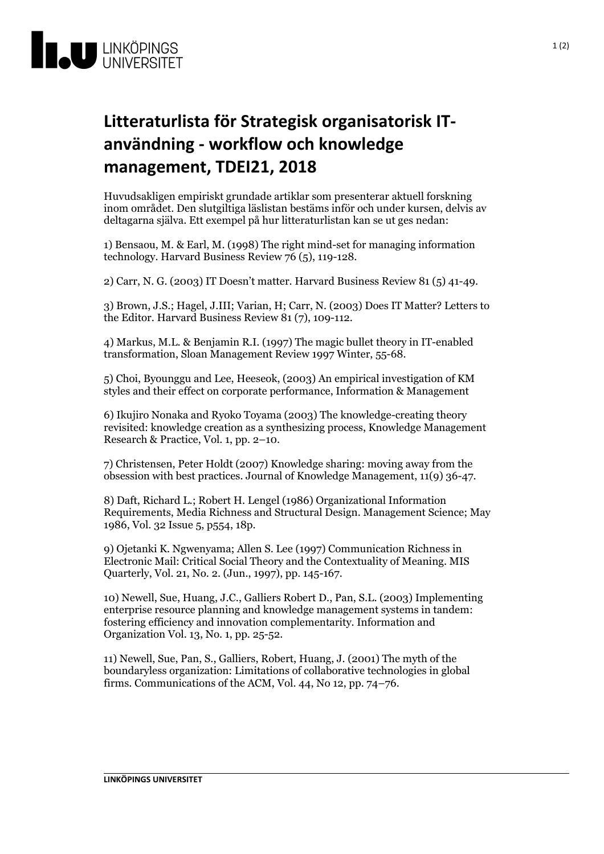

## **Litteraturlista förStrategisk organisatoriskIT- användning- workflow och knowledge management, TDEI21, 2018**

Huvudsakligen empiriskt grundade artiklar som presenterar aktuell forskning inom området. Den slutgiltiga läslistan bestäms inför och under kursen, delvis av deltagarna själva. Ett exempel på hur litteraturlistan kan se ut ges nedan:

1) Bensaou, M. & Earl, M. (1998) The right mind-set for managing information technology. Harvard Business Review 76(5), 119-128.

2) Carr, N. G. (2003) IT Doesn't matter. Harvard Business Review 81 (5) 41-49.

3) Brown, J.S.; Hagel, J.III; Varian, H; Carr, N. (2003) Does IT Matter? Letters to the Editor. Harvard Business Review 81 (7), 109-112.

4) Markus, M.L. & Benjamin R.I. (1997) The magic bullet theory in IT-enabled transformation, Sloan Management Review 1997 Winter, 55-68.

5) Choi, Byounggu and Lee, Heeseok, (2003) An empirical investigation of KM styles and their effect on corporate performance, Information & Management

6) Ikujiro Nonaka and Ryoko Toyama (2003) The knowledge-creating theory revisited: knowledge creation asa synthesizing process, Knowledge Management Research & Practice, Vol. 1, pp. 2–10.

7) Christensen, Peter Holdt (2007) Knowledge sharing: moving away from the obsession with best practices. Journal of Knowledge Management, 11(9) 36-47.

8) Daft, Richard L.; Robert H. Lengel (1986) Organizational Information Requirements, Media Richness and Structural Design. Management Science; May 1986, Vol. 32 Issue 5, p554, 18p.

9) Ojetanki K. Ngwenyama; Allen S. Lee (1997) Communication Richness in Electronic Mail: Critical Social Theory and the Contextuality of Meaning. MIS Quarterly, Vol. 21, No. 2. (Jun., 1997), pp. 145-167.

10) Newell, Sue, Huang, J.C., Galliers Robert D., Pan, S.L. (2003) Implementing enterprise resource planning and knowledge management systems in tandem: fostering efficiency and innovation complementarity. Information and Organization Vol. 13, No. 1, pp. 25-52.

11) Newell, Sue, Pan, S., Galliers, Robert, Huang, J. (2001) The myth of the boundaryless organization: Limitations of collaborative technologies in global firms. Communications of the ACM, Vol. 44, No 12, pp. 74–76.